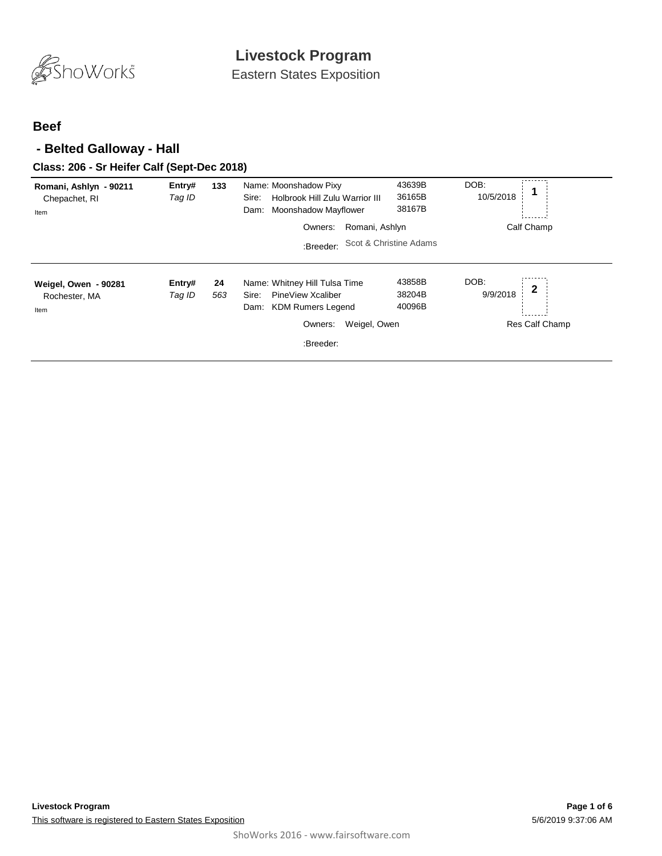

Eastern States Exposition

### **Beef**

### **- Belted Galloway - Hall**

#### **Class: 206 - Sr Heifer Calf (Sept-Dec 2018)**

| Romani, Ashlyn - 90211<br>Chepachet, RI<br>Item | Entry#<br>Tag ID | 133       | Name: Moonshadow Pixy<br>Holbrook Hill Zulu Warrior III<br>Sire:<br>Moonshadow Mayflower<br>Dam: | 43639B<br>36165B<br>38167B | DOB:<br>10/5/2018 | 1              |
|-------------------------------------------------|------------------|-----------|--------------------------------------------------------------------------------------------------|----------------------------|-------------------|----------------|
|                                                 |                  |           | Romani, Ashlyn<br>Owners:                                                                        |                            |                   | Calf Champ     |
|                                                 |                  |           | :Breeder:                                                                                        | Scot & Christine Adams     |                   |                |
| Weigel, Owen - 90281<br>Rochester, MA<br>Item   | Entry#<br>Tag ID | 24<br>563 | Name: Whitney Hill Tulsa Time<br>PineView Xcaliber<br>Sire:<br><b>KDM Rumers Legend</b><br>Dam:  | 43858B<br>38204B<br>40096B | DOB:<br>9/9/2018  | $\mathbf 2$    |
|                                                 |                  |           | Weigel, Owen<br>Owners:                                                                          |                            |                   | Res Calf Champ |
|                                                 |                  |           | :Breeder:                                                                                        |                            |                   |                |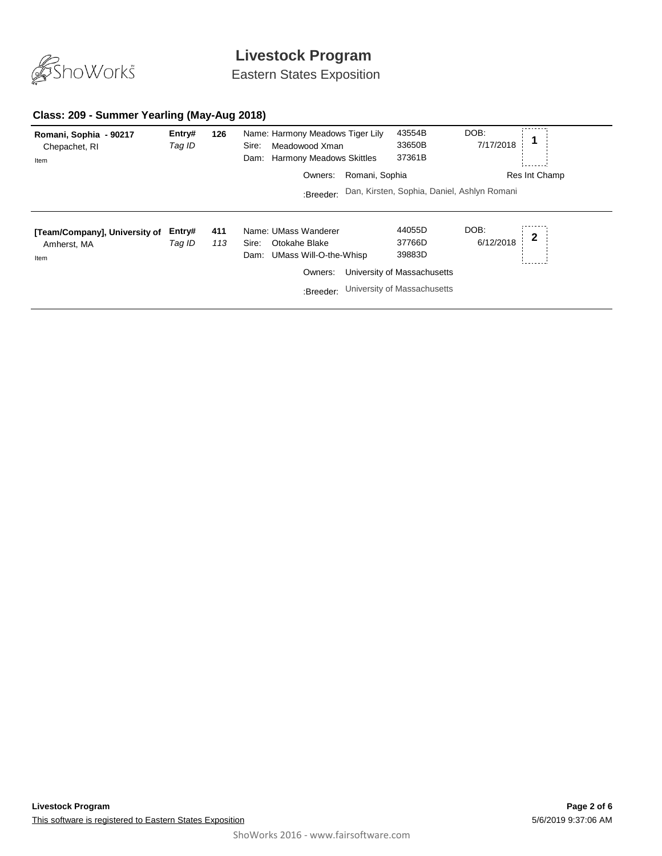

Eastern States Exposition

#### **Class: 209 - Summer Yearling (May-Aug 2018)**

| Romani, Sophia - 90217<br>Chepachet, RI<br>Item      | Entry#<br>Tag ID | 126        | Name: Harmony Meadows Tiger Lily<br>Meadowood Xman<br>Sire:<br>Dam: Harmony Meadows Skittles             | 43554B<br>33650B<br>37361B                                                               | DOB:<br>7/17/2018                 |
|------------------------------------------------------|------------------|------------|----------------------------------------------------------------------------------------------------------|------------------------------------------------------------------------------------------|-----------------------------------|
|                                                      |                  |            | Romani, Sophia<br>Owners:                                                                                |                                                                                          | Res Int Champ                     |
|                                                      |                  |            | :Breeder:                                                                                                | Dan, Kirsten, Sophia, Daniel, Ashlyn Romani                                              |                                   |
| [Team/Company], University of<br>Amherst, MA<br>Item | Entry#<br>Taq ID | 411<br>113 | Name: UMass Wanderer<br>Otokahe Blake<br>Sire:<br>UMass Will-O-the-Whisp<br>Dam:<br>Owners:<br>:Breeder: | 44055D<br>37766D<br>39883D<br>University of Massachusetts<br>University of Massachusetts | DOB:<br>$\mathbf{2}$<br>6/12/2018 |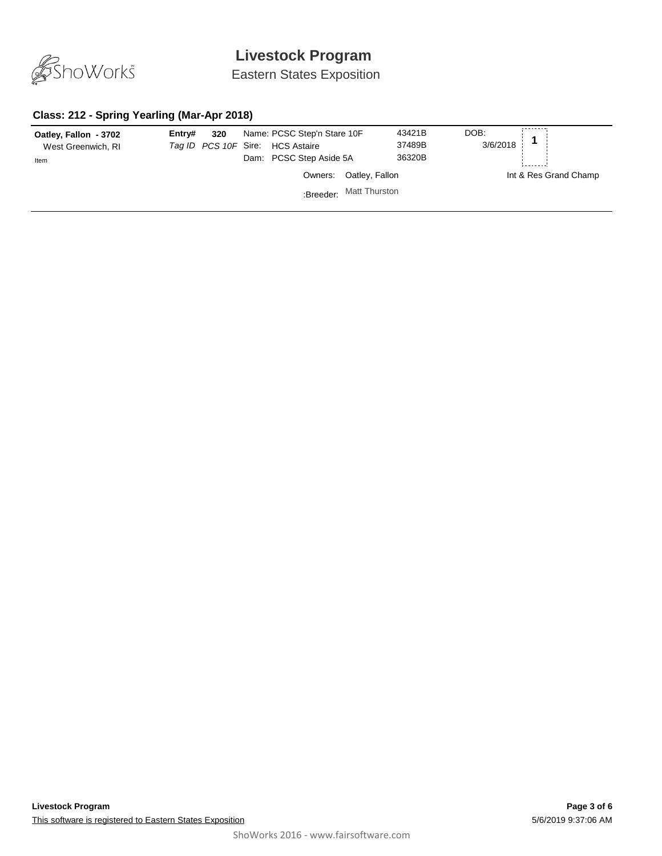

Eastern States Exposition

### **Class: 212 - Spring Yearling (Mar-Apr 2018)**

| Oatley, Fallon - 3702<br>West Greenwich, RI<br>Item | Entrv# | 320 | Name: PCSC Step'n Stare 10F<br>Tag ID PCS 10F Sire: HCS Astaire<br>Dam: PCSC Step Aside 5A |                         | 43421B<br>37489B<br>36320B | DOB:<br>в:<br>3/6/2018 <b>1</b> |                       |
|-----------------------------------------------------|--------|-----|--------------------------------------------------------------------------------------------|-------------------------|----------------------------|---------------------------------|-----------------------|
|                                                     |        |     |                                                                                            | Owners: Oatley, Fallon  |                            |                                 | Int & Res Grand Champ |
|                                                     |        |     |                                                                                            | :Breeder: Matt Thurston |                            |                                 |                       |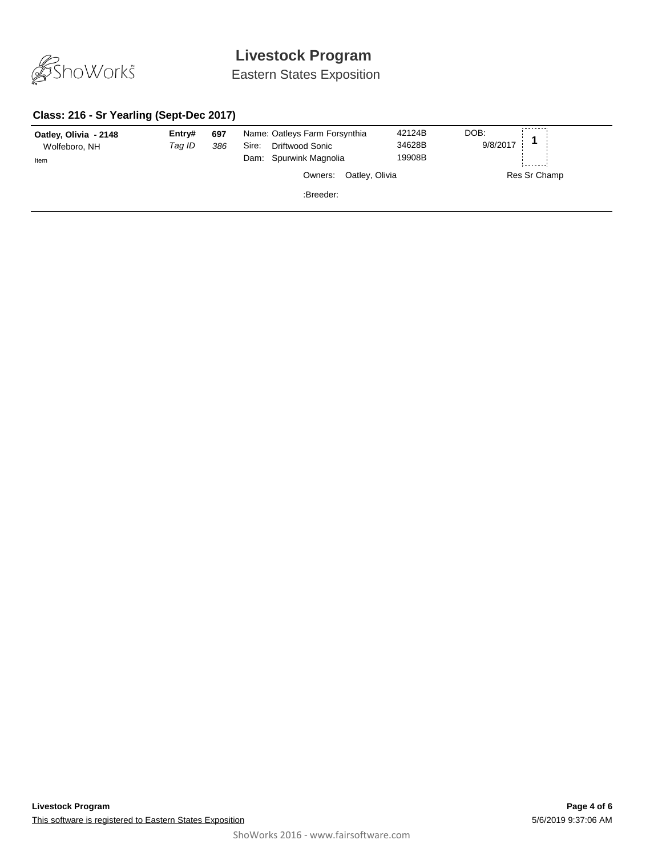

Eastern States Exposition

### **Class: 216 - Sr Yearling (Sept-Dec 2017)**

| Oatley, Olivia - 2148<br>Wolfeboro, NH<br>Item | Entry#<br>Taq ID | 697<br>386 | Name: Oatleys Farm Forsynthia<br>Driftwood Sonic<br>Sire:<br>Dam: Spurwink Magnolia | 42124B<br>34628B<br>19908B | DOB:<br>9/8/2017 |
|------------------------------------------------|------------------|------------|-------------------------------------------------------------------------------------|----------------------------|------------------|
|                                                |                  |            | Oatley, Olivia<br>Owners:                                                           |                            | Res Sr Champ     |
|                                                |                  |            | :Breeder:                                                                           |                            |                  |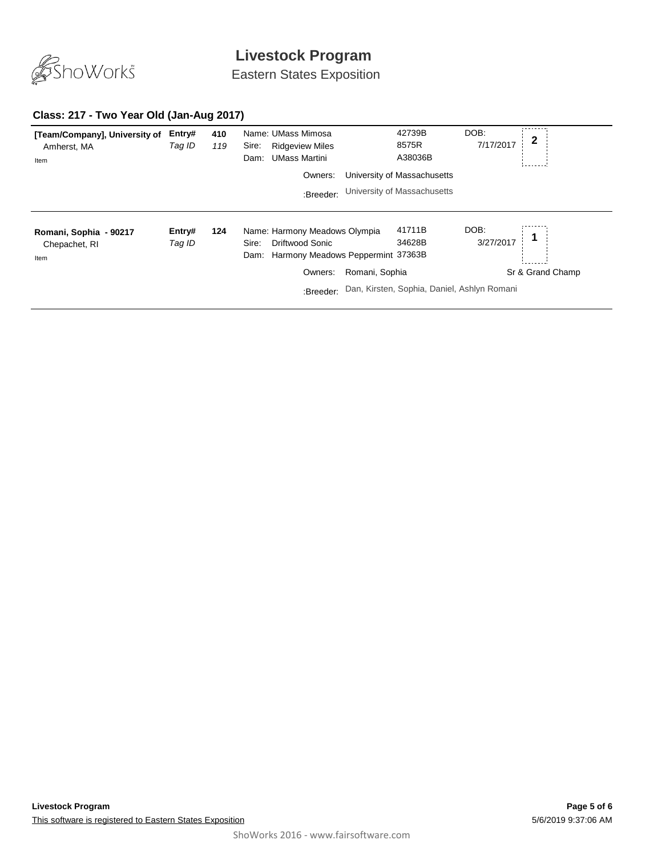

Eastern States Exposition

#### **Class: 217 - Two Year Old (Jan-Aug 2017)**

| [Team/Company], University of<br>Amherst, MA<br>Item | Entry#<br>Tag ID | 410<br>119 | Name: UMass Mimosa<br><b>Ridgeview Miles</b><br>Sire:<br><b>UMass Martini</b><br>Dam:                      |                | 42739B<br>8575R<br>A38036B                  | DOB:<br>7/17/2017 | 2                |
|------------------------------------------------------|------------------|------------|------------------------------------------------------------------------------------------------------------|----------------|---------------------------------------------|-------------------|------------------|
|                                                      |                  |            | Owners:                                                                                                    |                | University of Massachusetts                 |                   |                  |
|                                                      |                  |            | :Breeder:                                                                                                  |                | University of Massachusetts                 |                   |                  |
| Romani, Sophia - 90217<br>Chepachet, RI<br>Item      | Entry#<br>Tag ID | 124        | Name: Harmony Meadows Olympia<br><b>Driftwood Sonic</b><br>Sire:<br>Dam: Harmony Meadows Peppermint 37363B |                | 41711B<br>34628B                            | DOB:<br>3/27/2017 |                  |
|                                                      |                  |            | Owners:                                                                                                    | Romani, Sophia |                                             |                   | Sr & Grand Champ |
|                                                      |                  |            | :Breeder:                                                                                                  |                | Dan, Kirsten, Sophia, Daniel, Ashlyn Romani |                   |                  |